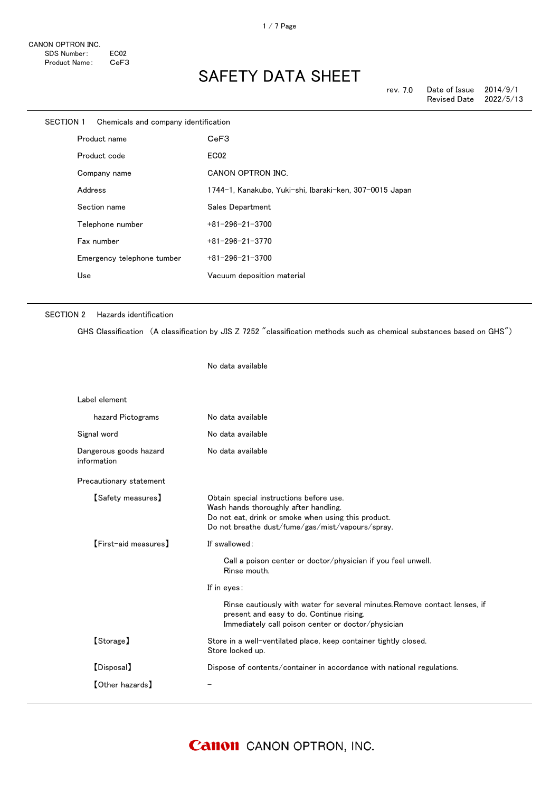| SECTION 1 | Chemicals and company identification |                                                         |
|-----------|--------------------------------------|---------------------------------------------------------|
|           | Product name                         | CeF3                                                    |
|           | Product code                         | EC <sub>02</sub>                                        |
|           | Company name                         | <b>CANON OPTRON INC.</b>                                |
|           | Address                              | 1744-1, Kanakubo, Yuki-shi, Ibaraki-ken, 307-0015 Japan |
|           | Section name                         | Sales Department                                        |
|           | Telephone number                     | $+81 - 296 - 21 - 3700$                                 |
|           | Fax number                           | $+81 - 296 - 21 - 3770$                                 |
|           | Emergency telephone tumber           | $+81 - 296 - 21 - 3700$                                 |
|           | Use                                  | Vacuum deposition material                              |
|           |                                      |                                                         |

#### SECTION 2 Hazards identification

【Other hazards】 -

GHS Classification (A classification by JIS Z 7252 "classification methods such as chemical substances based on GHS")

No data available Label element hazard Pictograms No data available Signal word **No data available** Dangerous goods hazard information No data available Precautionary statement 【Safety measures】 Obtain special instructions before use. Wash hands thoroughly after handling. Do not eat, drink or smoke when using this product. Do not breathe dust/fume/gas/mist/vapours/spray. 【First-aid measures】 If swallowed: Call a poison center or doctor/physician if you feel unwell. Rinse mouth. If in eyes: Rinse cautiously with water for several minutes.Remove contact lenses, if present and easy to do. Continue rising. Immediately call poison center or doctor/physician 【Storage】 Store in a well-ventilated place, keep container tightly closed. Store locked up. 【Disposal】 Dispose of contents/container in accordance with national regulations.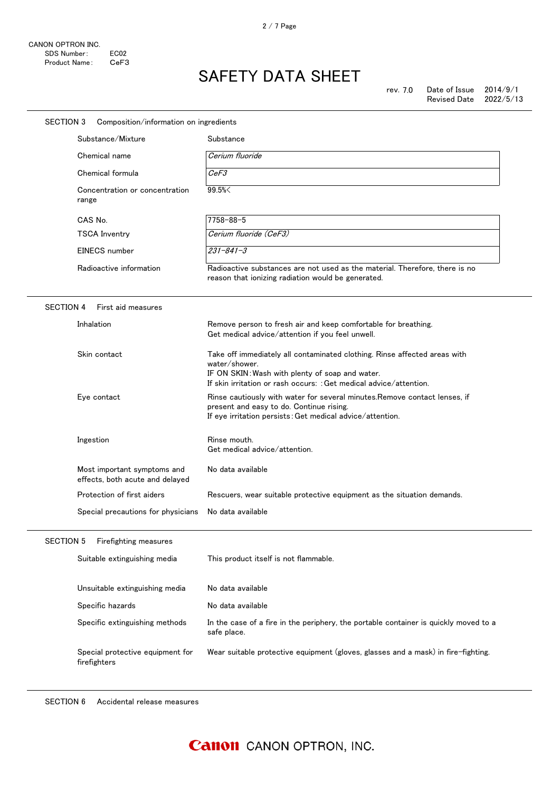| SECTION 3<br>Composition/information on ingredients |                                                                |                                                                                                                                                                                                                     |
|-----------------------------------------------------|----------------------------------------------------------------|---------------------------------------------------------------------------------------------------------------------------------------------------------------------------------------------------------------------|
|                                                     | Substance/Mixture                                              | Substance                                                                                                                                                                                                           |
|                                                     | Chemical name                                                  | Cerium fluoride                                                                                                                                                                                                     |
|                                                     | Chemical formula                                               | CeF3                                                                                                                                                                                                                |
|                                                     | Concentration or concentration<br>range                        | 99.5%<                                                                                                                                                                                                              |
|                                                     | CAS No.                                                        | $7758 - 88 - 5$                                                                                                                                                                                                     |
|                                                     | <b>TSCA Inventry</b>                                           | Cerium fluoride (CeF3)                                                                                                                                                                                              |
|                                                     | EINECS number                                                  | $231 - 841 - 3$                                                                                                                                                                                                     |
|                                                     | Radioactive information                                        | Radioactive substances are not used as the material. Therefore, there is no<br>reason that ionizing radiation would be generated.                                                                                   |
| <b>SECTION 4</b>                                    | First aid measures                                             |                                                                                                                                                                                                                     |
|                                                     | Inhalation                                                     | Remove person to fresh air and keep comfortable for breathing.<br>Get medical advice/attention if you feel unwell.                                                                                                  |
|                                                     | Skin contact                                                   | Take off immediately all contaminated clothing. Rinse affected areas with<br>water/shower.<br>IF ON SKIN: Wash with plenty of soap and water.<br>If skin irritation or rash occurs: : Get medical advice/attention. |
|                                                     | Eye contact                                                    | Rinse cautiously with water for several minutes. Remove contact lenses, if<br>present and easy to do. Continue rising.<br>If eye irritation persists: Get medical advice/attention.                                 |
|                                                     | Ingestion                                                      | Rinse mouth.<br>Get medical advice/attention.                                                                                                                                                                       |
|                                                     | Most important symptoms and<br>effects, both acute and delayed | No data available                                                                                                                                                                                                   |
|                                                     | Protection of first aiders                                     | Rescuers, wear suitable protective equipment as the situation demands.                                                                                                                                              |
|                                                     | Special precautions for physicians                             | No data available                                                                                                                                                                                                   |
| <b>SECTION 5</b>                                    | Firefighting measures                                          |                                                                                                                                                                                                                     |
|                                                     | Suitable extinguishing media                                   | This product itself is not flammable.                                                                                                                                                                               |
|                                                     | Unsuitable extinguishing media                                 | No data available                                                                                                                                                                                                   |
|                                                     | Specific hazards                                               | No data available                                                                                                                                                                                                   |
|                                                     | Specific extinguishing methods                                 | In the case of a fire in the periphery, the portable container is quickly moved to a<br>safe place.                                                                                                                 |
|                                                     | Special protective equipment for<br>firefighters               | Wear suitable protective equipment (gloves, glasses and a mask) in fire-fighting.                                                                                                                                   |
|                                                     |                                                                |                                                                                                                                                                                                                     |

SECTION 6 Accidental release measures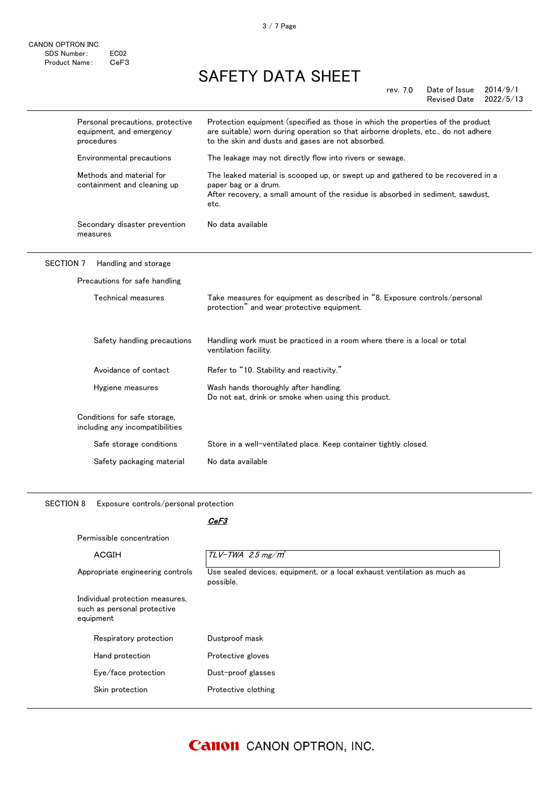|                  | Personal precautions, protective<br>equipment, and emergency<br>procedures | Protection equipment (specified as those in which the properties of the product<br>are suitable) worn during operation so that airborne droplets, etc., do not adhere<br>to the skin and dusts and gases are not absorbed. |
|------------------|----------------------------------------------------------------------------|----------------------------------------------------------------------------------------------------------------------------------------------------------------------------------------------------------------------------|
|                  | Environmental precautions                                                  | The leakage may not directly flow into rivers or sewage.                                                                                                                                                                   |
|                  | Methods and material for<br>containment and cleaning up                    | The leaked material is scooped up, or swept up and gathered to be recovered in a<br>paper bag or a drum.<br>After recovery, a small amount of the residue is absorbed in sediment, sawdust,<br>etc.                        |
|                  | Secondary disaster prevention<br>measures                                  | No data available                                                                                                                                                                                                          |
| <b>SECTION 7</b> | Handling and storage                                                       |                                                                                                                                                                                                                            |
|                  | Precautions for safe handling                                              |                                                                                                                                                                                                                            |
|                  | Technical measures                                                         | Take measures for equipment as described in "8. Exposure controls/personal<br>protection" and wear protective equipment.                                                                                                   |
|                  | Safety handling precautions                                                | Handling work must be practiced in a room where there is a local or total<br>ventilation facility.                                                                                                                         |
|                  | Avoidance of contact                                                       | Refer to "10. Stability and reactivity."                                                                                                                                                                                   |
|                  | Hygiene measures                                                           | Wash hands thoroughly after handling.<br>Do not eat, drink or smoke when using this product.                                                                                                                               |
|                  | Conditions for safe storage,<br>including any incompatibilities            |                                                                                                                                                                                                                            |
|                  | Safe storage conditions                                                    | Store in a well-ventilated place. Keep container tightly closed.                                                                                                                                                           |
|                  | Safety packaging material                                                  | No data available                                                                                                                                                                                                          |
|                  |                                                                            |                                                                                                                                                                                                                            |

SECTION 8 Exposure controls/personal protection

|--|

| Permissible concentration                                                   |                                                                                       |
|-----------------------------------------------------------------------------|---------------------------------------------------------------------------------------|
| ACGIH                                                                       | $TLV$ -TWA 2.5 mg/m <sup>3</sup>                                                      |
| Appropriate engineering controls                                            | Use sealed devices, equipment, or a local exhaust ventilation as much as<br>possible. |
| Individual protection measures,<br>such as personal protective<br>equipment |                                                                                       |
| Respiratory protection                                                      | Dustproof mask                                                                        |
| Hand protection                                                             | Protective gloves                                                                     |
| Eye/face protection                                                         | Dust-proof glasses                                                                    |
| Skin protection                                                             | Protective clothing                                                                   |
|                                                                             |                                                                                       |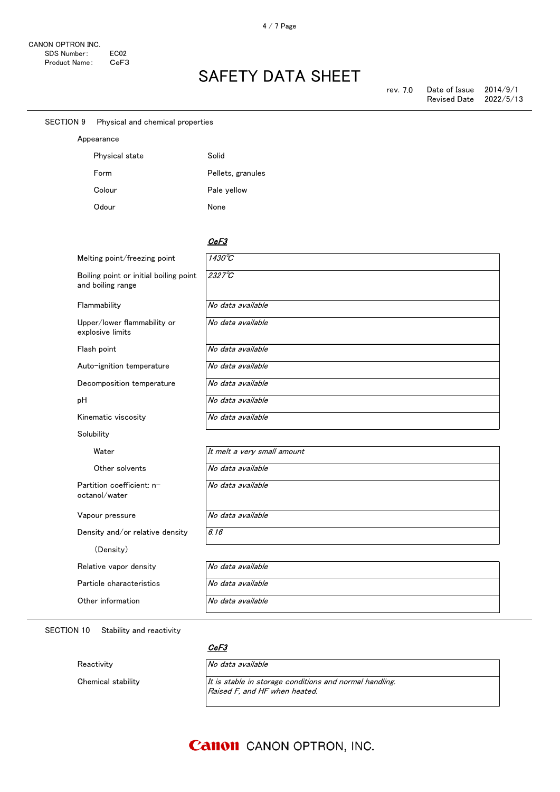| <b>SECTION 9</b> | Physical and chemical properties                            |                             |
|------------------|-------------------------------------------------------------|-----------------------------|
|                  | Appearance                                                  |                             |
|                  | Physical state                                              | Solid                       |
|                  | Form                                                        | Pellets, granules           |
|                  | Colour                                                      | Pale yellow                 |
|                  | Odour                                                       | None                        |
|                  |                                                             |                             |
|                  |                                                             | CeF3                        |
|                  | Melting point/freezing point                                | 1430°C                      |
|                  | Boiling point or initial boiling point<br>and boiling range | $2327^\circ C$              |
|                  | Flammability                                                | No data available           |
|                  | Upper/lower flammability or<br>explosive limits             | No data available           |
|                  | Flash point                                                 | No data available           |
|                  | Auto-ignition temperature                                   | No data available           |
|                  | Decomposition temperature                                   | No data available           |
| pH               |                                                             | No data available           |
|                  | Kinematic viscosity                                         | No data available           |
|                  | Solubility                                                  |                             |
|                  | Water                                                       | It melt a very small amount |
|                  | Other solvents                                              | No data available           |
|                  | Partition coefficient: n-<br>octanol/water                  | No data available           |
|                  | Vapour pressure                                             | No data available           |
|                  | Density and/or relative density                             | 6.16                        |
|                  | (Density)                                                   |                             |
|                  | Relative vapor density                                      | No data available           |
|                  | Particle characteristics                                    | No data available           |
|                  | Other information                                           | No data available           |
|                  |                                                             |                             |

SECTION 10 Stability and reactivity

CeF3

Reactivity No data available

Chemical stability  $I_t$  is stable in storage conditions and normal handling. Raised F, and HF when heated.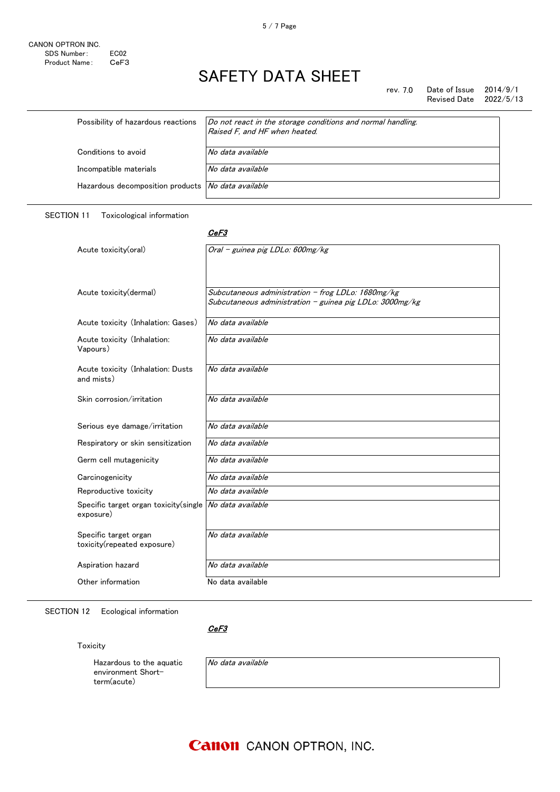rev. 7.0 Date of Issue  $2014/9/1$ Revised Date 2022/5/13

| Possibility of hazardous reactions                 | Do not react in the storage conditions and normal handling.<br>Raised F, and HF when heated. |
|----------------------------------------------------|----------------------------------------------------------------------------------------------|
| Conditions to avoid                                | No data available                                                                            |
| Incompatible materials                             | No data available                                                                            |
| Hazardous decomposition products No data available |                                                                                              |
|                                                    |                                                                                              |

SECTION 11 Toxicological information

#### <u>CeF3</u>

| Acute toxicity(oral)                                                   | Oral - guinea pig LDLo: 600mg/kg                                                                               |
|------------------------------------------------------------------------|----------------------------------------------------------------------------------------------------------------|
| Acute toxicity(dermal)                                                 | Subcutaneous administration - frog LDLo: 1680mg/kg<br>Subcutaneous administration - guinea pig LDLo: 3000mg/kg |
| Acute toxicity (Inhalation: Gases)                                     | No data available                                                                                              |
| Acute toxicity (Inhalation:<br>Vapours)                                | No data available                                                                                              |
| Acute toxicity (Inhalation: Dusts<br>and mists)                        | No data available                                                                                              |
| Skin corrosion/irritation                                              | No data available                                                                                              |
| Serious eye damage/irritation                                          | No data available                                                                                              |
| Respiratory or skin sensitization                                      | No data available                                                                                              |
| Germ cell mutagenicity                                                 | No data available                                                                                              |
| Carcinogenicity                                                        | No data available                                                                                              |
| Reproductive toxicity                                                  | No data available                                                                                              |
| Specific target organ toxicity(single   No data available<br>exposure) |                                                                                                                |
| Specific target organ<br>toxicity(repeated exposure)                   | No data available                                                                                              |
| Aspiration hazard                                                      | No data available                                                                                              |
| Other information                                                      | No data available                                                                                              |

SECTION 12 Ecological information

CeF3

Toxicity

Hazardous to the aquatic environment Shortterm(acute)

No data available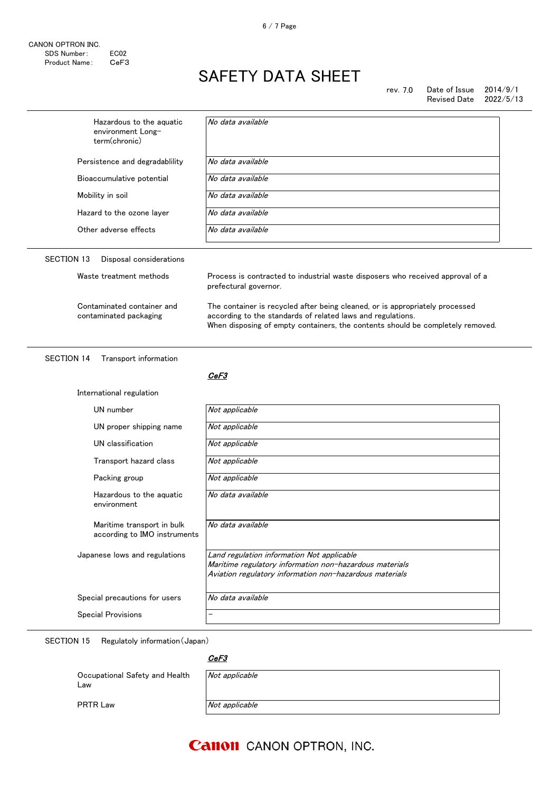| Hazardous to the aquatic<br>environment Long-<br>term(chronic) | No data available                                                                                                                                                                                                             |  |
|----------------------------------------------------------------|-------------------------------------------------------------------------------------------------------------------------------------------------------------------------------------------------------------------------------|--|
| Persistence and degradablility                                 | No data available                                                                                                                                                                                                             |  |
| Bioaccumulative potential                                      | No data available                                                                                                                                                                                                             |  |
| Mobility in soil                                               | No data available                                                                                                                                                                                                             |  |
| Hazard to the ozone layer                                      | No data available                                                                                                                                                                                                             |  |
| Other adverse effects                                          | No data available                                                                                                                                                                                                             |  |
| <b>SECTION 13</b><br>Disposal considerations                   |                                                                                                                                                                                                                               |  |
| Waste treatment methods                                        | Process is contracted to industrial waste disposers who received approval of a<br>prefectural governor.                                                                                                                       |  |
| Contaminated container and<br>contaminated packaging           | The container is recycled after being cleaned, or is appropriately processed<br>according to the standards of related laws and regulations.<br>When disposing of empty containers, the contents should be completely removed. |  |
|                                                                |                                                                                                                                                                                                                               |  |
| <b>SECTION 14</b><br>Transport information                     | CeF3                                                                                                                                                                                                                          |  |
| International regulation                                       |                                                                                                                                                                                                                               |  |
| UN number                                                      | Not applicable                                                                                                                                                                                                                |  |
| UN proper shipping name                                        | Not applicable                                                                                                                                                                                                                |  |
| UN classification                                              | Not applicable                                                                                                                                                                                                                |  |
| Transport hazard class                                         | Not applicable                                                                                                                                                                                                                |  |
| Packing group                                                  | Not applicable                                                                                                                                                                                                                |  |
| Hazardous to the aquatic<br>environment                        | No data available                                                                                                                                                                                                             |  |
| Maritime transport in bulk<br>according to IMO instruments     | No data available                                                                                                                                                                                                             |  |
| Japanese lows and regulations                                  | Land regulation information Not applicable<br>Maritime regulatory information non-hazardous materials<br>Aviation regulatory information non-hazardous materials                                                              |  |
| Special precautions for users                                  | No data available                                                                                                                                                                                                             |  |

SECTION 15 Regulatoly information(Japan)

| Occupational Safety and Health<br>∟aw | Not applicable |
|---------------------------------------|----------------|
| <b>PRTR Law</b>                       | Not applicable |